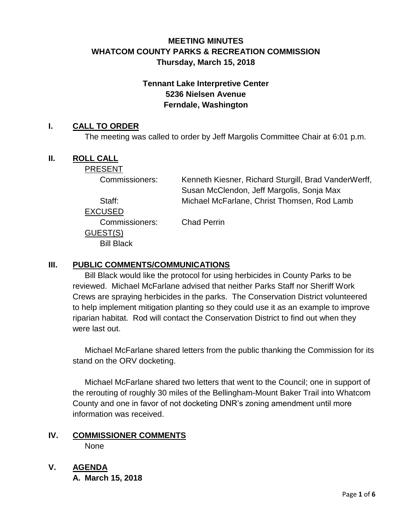# **MEETING MINUTES WHATCOM COUNTY PARKS & RECREATION COMMISSION Thursday, March 15, 2018**

## **Tennant Lake Interpretive Center 5236 Nielsen Avenue Ferndale, Washington**

### **I. CALL TO ORDER**

The meeting was called to order by Jeff Margolis Committee Chair at 6:01 p.m.

## **II. ROLL CALL**

PRESENT

Commissioners: Kenneth Kiesner, Richard Sturgill, Brad VanderWerff, Susan McClendon, Jeff Margolis, Sonja Max Staff: Michael McFarlane, Christ Thomsen, Rod Lamb

EXCUSED

Commissioners: Chad Perrin GUEST(S) Bill Black

## **III. PUBLIC COMMENTS/COMMUNICATIONS**

Bill Black would like the protocol for using herbicides in County Parks to be reviewed. Michael McFarlane advised that neither Parks Staff nor Sheriff Work Crews are spraying herbicides in the parks. The Conservation District volunteered to help implement mitigation planting so they could use it as an example to improve riparian habitat. Rod will contact the Conservation District to find out when they were last out.

Michael McFarlane shared letters from the public thanking the Commission for its stand on the ORV docketing.

Michael McFarlane shared two letters that went to the Council; one in support of the rerouting of roughly 30 miles of the Bellingham-Mount Baker Trail into Whatcom County and one in favor of not docketing DNR's zoning amendment until more information was received.

#### **IV. COMMISSIONER COMMENTS** None

**V. AGENDA**

**A. March 15, 2018**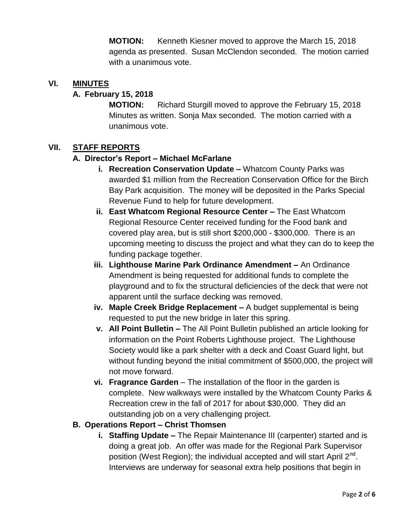**MOTION:** Kenneth Kiesner moved to approve the March 15, 2018 agenda as presented. Susan McClendon seconded. The motion carried with a unanimous vote.

### **VI. MINUTES**

### **A. February 15, 2018**

**MOTION:** Richard Sturgill moved to approve the February 15, 2018 Minutes as written. Sonja Max seconded. The motion carried with a unanimous vote.

### **VII. STAFF REPORTS**

#### **A. Director's Report – Michael McFarlane**

- **i. Recreation Conservation Update –** Whatcom County Parks was awarded \$1 million from the Recreation Conservation Office for the Birch Bay Park acquisition. The money will be deposited in the Parks Special Revenue Fund to help for future development.
- **ii. East Whatcom Regional Resource Center –** The East Whatcom Regional Resource Center received funding for the Food bank and covered play area, but is still short \$200,000 - \$300,000. There is an upcoming meeting to discuss the project and what they can do to keep the funding package together.
- **iii. Lighthouse Marine Park Ordinance Amendment –** An Ordinance Amendment is being requested for additional funds to complete the playground and to fix the structural deficiencies of the deck that were not apparent until the surface decking was removed.
- **iv. Maple Creek Bridge Replacement –** A budget supplemental is being requested to put the new bridge in later this spring.
- **v. All Point Bulletin –** The All Point Bulletin published an article looking for information on the Point Roberts Lighthouse project. The Lighthouse Society would like a park shelter with a deck and Coast Guard light, but without funding beyond the initial commitment of \$500,000, the project will not move forward.
- **vi. Fragrance Garden**  The installation of the floor in the garden is complete. New walkways were installed by the Whatcom County Parks & Recreation crew in the fall of 2017 for about \$30,000. They did an outstanding job on a very challenging project.

#### **B. Operations Report – Christ Thomsen**

**i. Staffing Update –** The Repair Maintenance III (carpenter) started and is doing a great job. An offer was made for the Regional Park Supervisor position (West Region); the individual accepted and will start April 2<sup>nd</sup>. Interviews are underway for seasonal extra help positions that begin in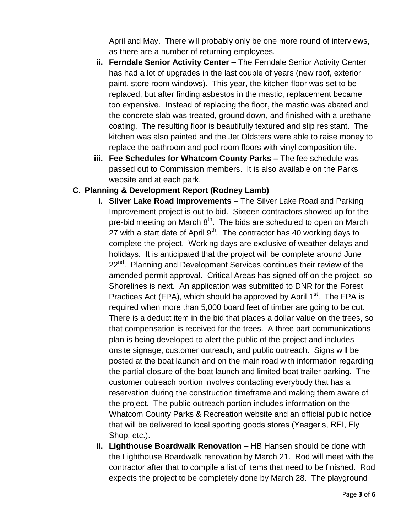April and May. There will probably only be one more round of interviews, as there are a number of returning employees.

- **ii. Ferndale Senior Activity Center –** The Ferndale Senior Activity Center has had a lot of upgrades in the last couple of years (new roof, exterior paint, store room windows). This year, the kitchen floor was set to be replaced, but after finding asbestos in the mastic, replacement became too expensive. Instead of replacing the floor, the mastic was abated and the concrete slab was treated, ground down, and finished with a urethane coating. The resulting floor is beautifully textured and slip resistant. The kitchen was also painted and the Jet Oldsters were able to raise money to replace the bathroom and pool room floors with vinyl composition tile.
- **iii. Fee Schedules for Whatcom County Parks –** The fee schedule was passed out to Commission members. It is also available on the Parks website and at each park.

## **C. Planning & Development Report (Rodney Lamb)**

- **i. Silver Lake Road Improvements**  The Silver Lake Road and Parking Improvement project is out to bid. Sixteen contractors showed up for the pre-bid meeting on March 8<sup>th</sup>. The bids are scheduled to open on March 27 with a start date of April  $9<sup>th</sup>$ . The contractor has 40 working days to complete the project. Working days are exclusive of weather delays and holidays. It is anticipated that the project will be complete around June 22<sup>nd</sup>. Planning and Development Services continues their review of the amended permit approval. Critical Areas has signed off on the project, so Shorelines is next. An application was submitted to DNR for the Forest Practices Act (FPA), which should be approved by April  $1<sup>st</sup>$ . The FPA is required when more than 5,000 board feet of timber are going to be cut. There is a deduct item in the bid that places a dollar value on the trees, so that compensation is received for the trees. A three part communications plan is being developed to alert the public of the project and includes onsite signage, customer outreach, and public outreach. Signs will be posted at the boat launch and on the main road with information regarding the partial closure of the boat launch and limited boat trailer parking. The customer outreach portion involves contacting everybody that has a reservation during the construction timeframe and making them aware of the project. The public outreach portion includes information on the Whatcom County Parks & Recreation website and an official public notice that will be delivered to local sporting goods stores (Yeager's, REI, Fly Shop, etc.).
- **ii. Lighthouse Boardwalk Renovation –** HB Hansen should be done with the Lighthouse Boardwalk renovation by March 21. Rod will meet with the contractor after that to compile a list of items that need to be finished. Rod expects the project to be completely done by March 28. The playground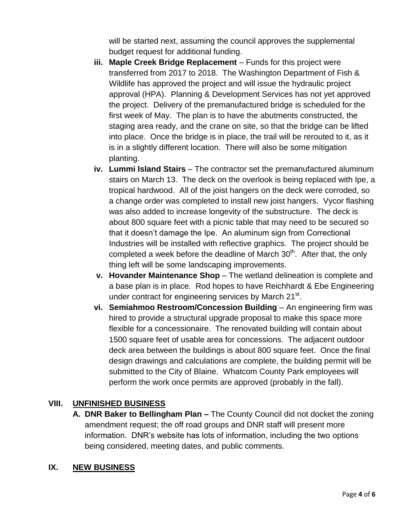will be started next, assuming the council approves the supplemental budget request for additional funding.

- **iii. Maple Creek Bridge Replacement** Funds for this project were transferred from 2017 to 2018. The Washington Department of Fish & Wildlife has approved the project and will issue the hydraulic project approval (HPA). Planning & Development Services has not yet approved the project. Delivery of the premanufactured bridge is scheduled for the first week of May. The plan is to have the abutments constructed, the staging area ready, and the crane on site, so that the bridge can be lifted into place. Once the bridge is in place, the trail will be rerouted to it, as it is in a slightly different location. There will also be some mitigation planting.
- **iv. Lummi Island Stairs** The contractor set the premanufactured aluminum stairs on March 13. The deck on the overlook is being replaced with Ipe, a tropical hardwood. All of the joist hangers on the deck were corroded, so a change order was completed to install new joist hangers. Vycor flashing was also added to increase longevity of the substructure. The deck is about 800 square feet with a picnic table that may need to be secured so that it doesn't damage the Ipe. An aluminum sign from Correctional Industries will be installed with reflective graphics. The project should be completed a week before the deadline of March 30<sup>th</sup>. After that, the only thing left will be some landscaping improvements.
- **v.** Hovander Maintenance Shop The wetland delineation is complete and a base plan is in place. Rod hopes to have Reichhardt & Ebe Engineering under contract for engineering services by March 21<sup>st</sup>.
- **vi. Semiahmoo Restroom/Concession Building An engineering firm was** hired to provide a structural upgrade proposal to make this space more flexible for a concessionaire. The renovated building will contain about 1500 square feet of usable area for concessions. The adjacent outdoor deck area between the buildings is about 800 square feet. Once the final design drawings and calculations are complete, the building permit will be submitted to the City of Blaine. Whatcom County Park employees will perform the work once permits are approved (probably in the fall).

## **VIII. UNFINISHED BUSINESS**

**A. DNR Baker to Bellingham Plan –** The County Council did not docket the zoning amendment request; the off road groups and DNR staff will present more information. DNR's website has lots of information, including the two options being considered, meeting dates, and public comments.

### **IX. NEW BUSINESS**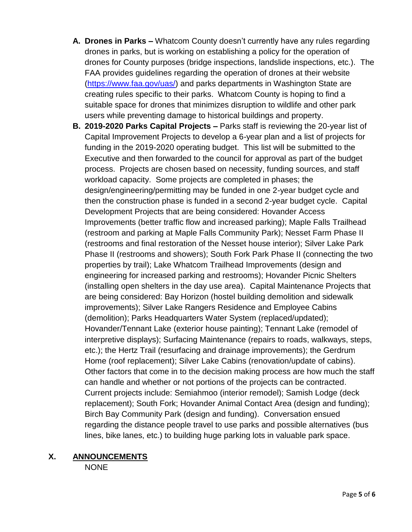- **A. Drones in Parks –** Whatcom County doesn't currently have any rules regarding drones in parks, but is working on establishing a policy for the operation of drones for County purposes (bridge inspections, landslide inspections, etc.). The FAA provides guidelines regarding the operation of drones at their website [\(https://www.faa.gov/uas/\)](https://www.faa.gov/uas/) and parks departments in Washington State are creating rules specific to their parks. Whatcom County is hoping to find a suitable space for drones that minimizes disruption to wildlife and other park users while preventing damage to historical buildings and property.
- **B. 2019-2020 Parks Capital Projects –** Parks staff is reviewing the 20-year list of Capital Improvement Projects to develop a 6-year plan and a list of projects for funding in the 2019-2020 operating budget. This list will be submitted to the Executive and then forwarded to the council for approval as part of the budget process. Projects are chosen based on necessity, funding sources, and staff workload capacity. Some projects are completed in phases; the design/engineering/permitting may be funded in one 2-year budget cycle and then the construction phase is funded in a second 2-year budget cycle. Capital Development Projects that are being considered: Hovander Access Improvements (better traffic flow and increased parking); Maple Falls Trailhead (restroom and parking at Maple Falls Community Park); Nesset Farm Phase II (restrooms and final restoration of the Nesset house interior); Silver Lake Park Phase II (restrooms and showers); South Fork Park Phase II (connecting the two properties by trail); Lake Whatcom Trailhead Improvements (design and engineering for increased parking and restrooms); Hovander Picnic Shelters (installing open shelters in the day use area). Capital Maintenance Projects that are being considered: Bay Horizon (hostel building demolition and sidewalk improvements); Silver Lake Rangers Residence and Employee Cabins (demolition); Parks Headquarters Water System (replaced/updated); Hovander/Tennant Lake (exterior house painting); Tennant Lake (remodel of interpretive displays); Surfacing Maintenance (repairs to roads, walkways, steps, etc.); the Hertz Trail (resurfacing and drainage improvements); the Gerdrum Home (roof replacement); Silver Lake Cabins (renovation/update of cabins). Other factors that come in to the decision making process are how much the staff can handle and whether or not portions of the projects can be contracted. Current projects include: Semiahmoo (interior remodel); Samish Lodge (deck replacement); South Fork; Hovander Animal Contact Area (design and funding); Birch Bay Community Park (design and funding). Conversation ensued regarding the distance people travel to use parks and possible alternatives (bus lines, bike lanes, etc.) to building huge parking lots in valuable park space.

### **X. ANNOUNCEMENTS**

NONE